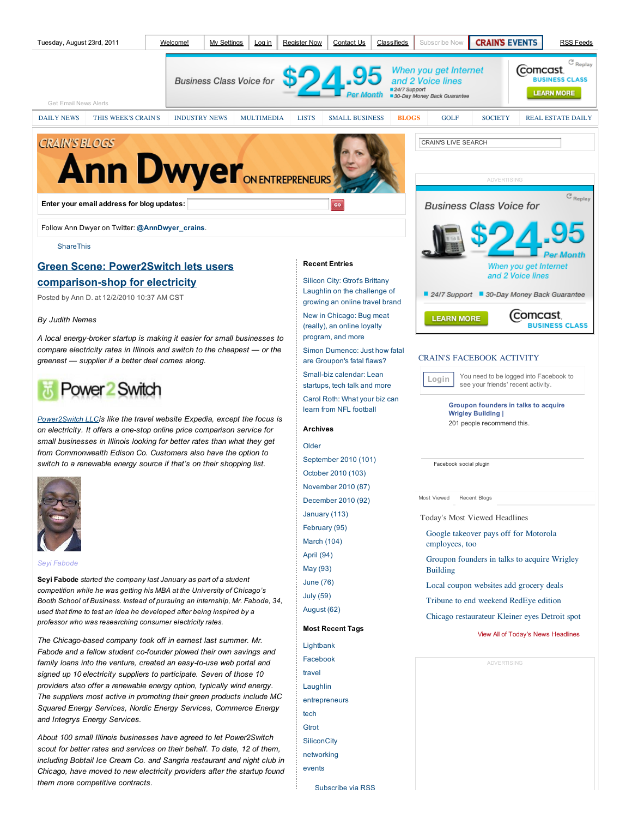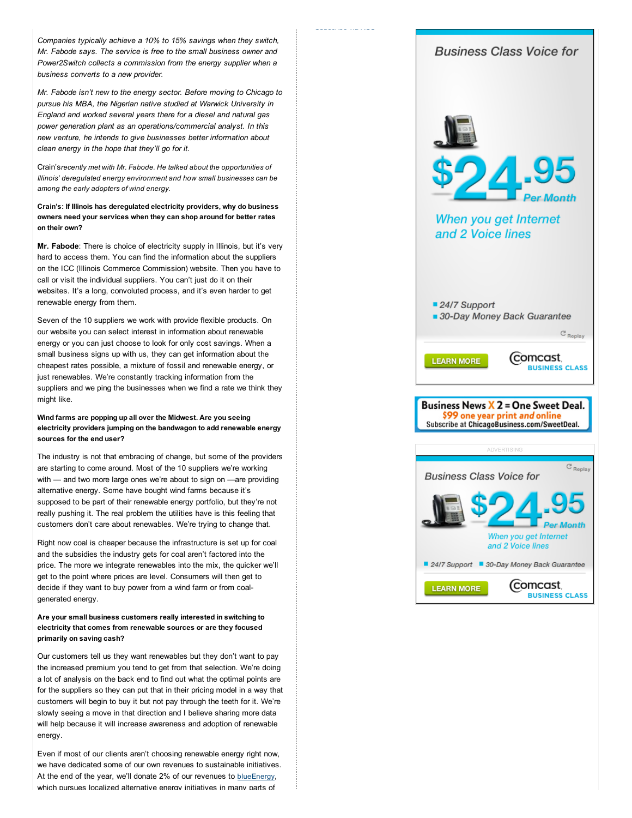*Companies typically achieve a 10% to 15% savings when they switch, Mr. Fabode says. The service is free to the small business owner and Power2Switch collects a commission from the energy supplier when a business converts to a new provider.*

Subscribe via RSS

*Mr. Fabode isn't new to the energy sector. Before moving to Chicago to pursue his MBA, the Nigerian native studied at Warwick University in England and worked several years there for a diesel and natural gas power generation plant as an operations/commercial analyst. In this new venture, he intends to give businesses better information about clean energy in the hope that they'll go for it.*

Crain's*recently met with Mr. Fabode. He talked about the opportunities of Illinois' deregulated energy environment and how small businesses can be among the early adopters of wind energy.*

**Crain's: If Illinois has deregulated electricity providers, why do business owners need your services when they can shop around for better rates on their own?**

**Mr. Fabode**: There is choice of electricity supply in Illinois, but it's very hard to access them. You can find the information about the suppliers on the ICC (Illinois Commerce Commission) website. Then you have to call or visit the individual suppliers. You can't just do it on their websites. It's a long, convoluted process, and it's even harder to get renewable energy from them.

Seven of the 10 suppliers we work with provide flexible products. On our website you can select interest in information about renewable energy or you can just choose to look for only cost savings. When a small business signs up with us, they can get information about the cheapest rates possible, a mixture of fossil and renewable energy, or just renewables. We're constantly tracking information from the suppliers and we ping the businesses when we find a rate we think they might like.

## **Wind farms are popping up all over the Midwest. Are you seeing electricity providers jumping on the bandwagon to add renewable energy sources for the end user?**

The industry is not that embracing of change, but some of the providers are starting to come around. Most of the 10 suppliers we're working with — and two more large ones we're about to sign on —are providing alternative energy. Some have bought wind farms because it's supposed to be part of their renewable energy portfolio, but they're not really pushing it. The real problem the utilities have is this feeling that customers don't care about renewables. We're trying to change that.

Right now coal is cheaper because the infrastructure is set up for coal and the subsidies the industry gets for coal aren't factored into the price. The more we integrate renewables into the mix, the quicker we'll get to the point where prices are level. Consumers will then get to decide if they want to buy power from a wind farm or from coalgenerated energy.

#### **Are your small business customers really interested in switching to electricity that comes from renewable sources or are they focused primarily on saving cash?**

Our customers tell us they want renewables but they don't want to pay the increased premium you tend to get from that selection. We're doing a lot of analysis on the back end to find out what the optimal points are for the suppliers so they can put that in their pricing model in a way that customers will begin to buy it but not pay through the teeth for it. We're slowly seeing a move in that direction and I believe sharing more data will help because it will increase awareness and adoption of renewable energy.

Even if most of our clients aren't choosing renewable energy right now, we have dedicated some of our own revenues to sustainable initiatives. At the end of the year, we'll donate 2% of our revenues to blueEnergy, which pursues localized alternative energy initiatives in many parts of

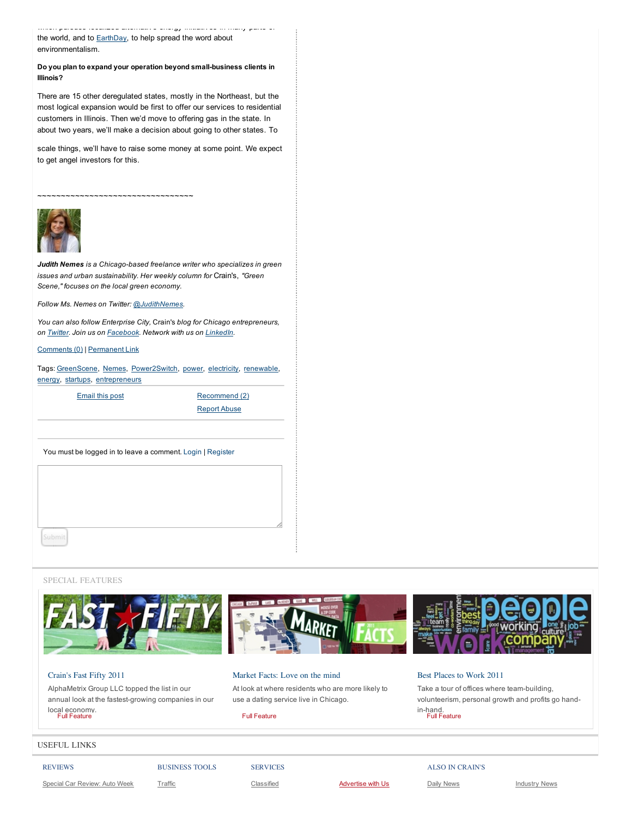the world, and to **EarthDay**, to help spread the word about environmentalism.

### **Do you plan to expand your operation beyond small-business clients in Illinois?**

which pursues localized alternative energy initiatives in many parts of

There are 15 other deregulated states, mostly in the Northeast, but the most logical expansion would be first to offer our services to residential customers in Illinois. Then we'd move to offering gas in the state. In about two years, we'll make a decision about going to other states. To

scale things, we'll have to raise some money at some point. We expect to get angel investors for this.

~~~~~~~~~~~~~~~~~~~~~~~~~~~~~~~



*Judith Nemes is a Chicago-based freelance writer who specializes in green issues and urban sustainability. Her weekly column for* Crain's, *"Green Scene," focuses on the local green economy.*

*Follow Ms. Nemes on Twitter: @JudithNemes.*

*You can also follow Enterprise City,* Crain's *blog for Chicago entrepreneurs, on Twitter. Join us on Facebook. Network with us on LinkedIn.*

Comments (0) | Permanent Link

Tags: GreenScene, Nemes, Power2Switch, power, electricity, renewable, energy, startups, entrepreneurs

Email this post Recommend (2)

Report Abuse

You must be logged in to leave a comment. Login | Register

#### SPECIAL FEATURES



## Crain's Fast Fifty 2011

AlphaMetrix Group LLC topped the list in our annual look at the fastest-growing companies in our local economy. Full Feature

Market Facts: Love on the mind

At look at where residents who are more likely to use a dating service live in Chicago.

Full Feature

# Best Places to Work 2011 Take a tour of offices where team-building,

volunteerism, personal growth and profits go handin-hand. Full Feature

#### USEFUL LINKS

Special Car Review: Auto Week

SERVICES

Classified **Advertise with Us**